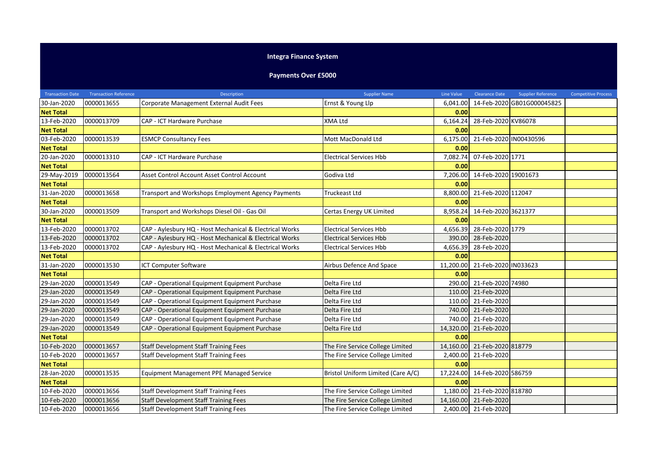## **Integra Finance System**

**Payments Over £5000**

| <b>Transaction Date</b> | <b>Transaction Reference</b> | <b>Description</b>                                      | <b>Supplier Name</b>               | <b>Line Value</b> | <b>Clearance Date</b>        | <b>Supplier Reference</b>  | <b>Competitive Process</b> |
|-------------------------|------------------------------|---------------------------------------------------------|------------------------------------|-------------------|------------------------------|----------------------------|----------------------------|
| 30-Jan-2020             | 0000013655                   | Corporate Management External Audit Fees                | Ernst & Young Llp                  | 6,041.00          |                              | 14-Feb-2020 GB01G000045825 |                            |
| <b>Net Total</b>        |                              |                                                         |                                    | 0.00              |                              |                            |                            |
| 13-Feb-2020             | 0000013709                   | CAP - ICT Hardware Purchase                             | <b>XMA Ltd</b>                     | 6,164.24          | 28-Feb-2020 KV86078          |                            |                            |
| <b>Net Total</b>        |                              |                                                         |                                    | 0.00              |                              |                            |                            |
| 03-Feb-2020             | 0000013539                   | <b>ESMCP Consultancy Fees</b>                           | Mott MacDonald Ltd                 | 6,175.00          | 21-Feb-2020 IN00430596       |                            |                            |
| <b>Net Total</b>        |                              |                                                         |                                    | 0.00              |                              |                            |                            |
| 20-Jan-2020             | 0000013310                   | CAP - ICT Hardware Purchase                             | <b>Electrical Services Hbb</b>     | 7,082.74          | 07-Feb-2020 1771             |                            |                            |
| <b>Net Total</b>        |                              |                                                         |                                    | 0.00              |                              |                            |                            |
| 29-May-2019             | 0000013564                   | Asset Control Account Asset Control Account             | Godiva Ltd                         | 7,206.00          | 14-Feb-2020 19001673         |                            |                            |
| <b>Net Total</b>        |                              |                                                         |                                    | 0.00              |                              |                            |                            |
| 31-Jan-2020             | 0000013658                   | Transport and Workshops Employment Agency Payments      | Truckeast Ltd                      | 8,800.00          | 21-Feb-2020 112047           |                            |                            |
| <b>Net Total</b>        |                              |                                                         |                                    | 0.00              |                              |                            |                            |
| 30-Jan-2020             | 0000013509                   | Transport and Workshops Diesel Oil - Gas Oil            | Certas Energy UK Limited           | 8,958.24          | 14-Feb-2020 3621377          |                            |                            |
| <b>Net Total</b>        |                              |                                                         |                                    | 0.00              |                              |                            |                            |
| 13-Feb-2020             | 0000013702                   | CAP - Aylesbury HQ - Host Mechanical & Electrical Works | <b>Electrical Services Hbb</b>     | 4,656.39          | 28-Feb-2020 1779             |                            |                            |
| 13-Feb-2020             | 0000013702                   | CAP - Aylesbury HQ - Host Mechanical & Electrical Works | <b>Electrical Services Hbb</b>     | 390.00            | 28-Feb-2020                  |                            |                            |
| 13-Feb-2020             | 0000013702                   | CAP - Aylesbury HQ - Host Mechanical & Electrical Works | <b>Electrical Services Hbb</b>     | 4,656.39          | 28-Feb-2020                  |                            |                            |
| <b>Net Total</b>        |                              |                                                         |                                    | 0.00              |                              |                            |                            |
| 31-Jan-2020             | 0000013530                   | <b>ICT Computer Software</b>                            | Airbus Defence And Space           | 11,200.00         | 21-Feb-2020 IN033623         |                            |                            |
| <b>Net Total</b>        |                              |                                                         |                                    | 0.00              |                              |                            |                            |
| 29-Jan-2020             | 0000013549                   | CAP - Operational Equipment Equipment Purchase          | Delta Fire Ltd                     |                   | 290.00 21-Feb-2020 74980     |                            |                            |
| 29-Jan-2020             | 0000013549                   | CAP - Operational Equipment Equipment Purchase          | Delta Fire Ltd                     |                   | 110.00 21-Feb-2020           |                            |                            |
| 29-Jan-2020             | 0000013549                   | CAP - Operational Equipment Equipment Purchase          | Delta Fire Ltd                     | 110.00            | 21-Feb-2020                  |                            |                            |
| 29-Jan-2020             | 0000013549                   | CAP - Operational Equipment Equipment Purchase          | Delta Fire Ltd                     |                   | 740.00 21-Feb-2020           |                            |                            |
| 29-Jan-2020             | 0000013549                   | CAP - Operational Equipment Equipment Purchase          | Delta Fire Ltd                     |                   | 740.00 21-Feb-2020           |                            |                            |
| 29-Jan-2020             | 0000013549                   | CAP - Operational Equipment Equipment Purchase          | Delta Fire Ltd                     | 14,320.00         | 21-Feb-2020                  |                            |                            |
| <b>Net Total</b>        |                              |                                                         |                                    | 0.00              |                              |                            |                            |
| 10-Feb-2020             | 0000013657                   | <b>Staff Development Staff Training Fees</b>            | The Fire Service College Limited   |                   | 14,160.00 21-Feb-2020 818779 |                            |                            |
| 10-Feb-2020             | 0000013657                   | <b>Staff Development Staff Training Fees</b>            | The Fire Service College Limited   |                   | 2,400.00 21-Feb-2020         |                            |                            |
| <b>Net Total</b>        |                              |                                                         |                                    | 0.00              |                              |                            |                            |
| 28-Jan-2020             | 0000013535                   | Equipment Management PPE Managed Service                | Bristol Uniform Limited (Care A/C) | 17,224.00         | 14-Feb-2020 586759           |                            |                            |
| <b>Net Total</b>        |                              |                                                         |                                    | 0.00              |                              |                            |                            |
| 10-Feb-2020             | 0000013656                   | <b>Staff Development Staff Training Fees</b>            | The Fire Service College Limited   | 1,180.00          | 21-Feb-2020 818780           |                            |                            |
| 10-Feb-2020             | 0000013656                   | <b>Staff Development Staff Training Fees</b>            | The Fire Service College Limited   | 14,160.00         | 21-Feb-2020                  |                            |                            |
| 10-Feb-2020             | 0000013656                   | <b>Staff Development Staff Training Fees</b>            | The Fire Service College Limited   |                   | 2,400.00 21-Feb-2020         |                            |                            |